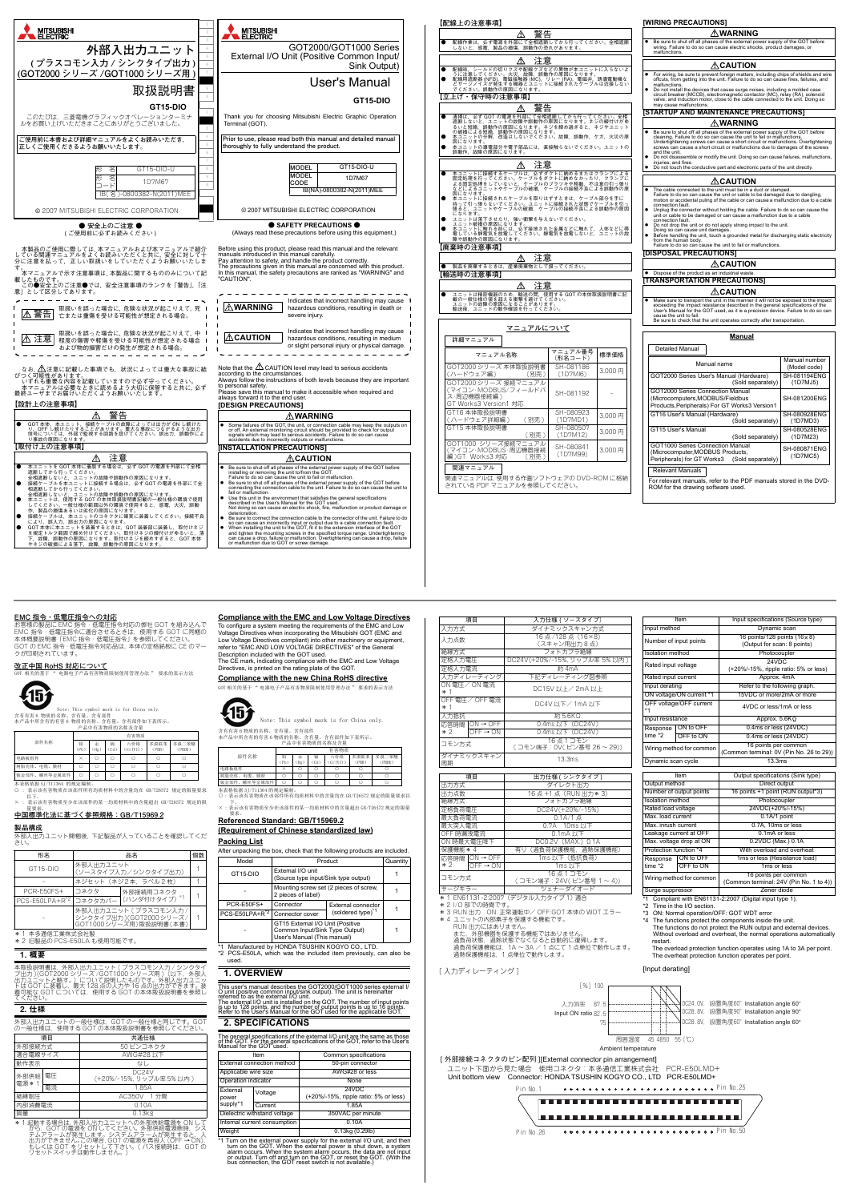

本表格依据 SJ/T11364 的规定编制 ○ : 表示该有害物质在该部件所有均质材料中的含量均在 GB/T26572 规定的限量要求

| 警告                                                                                                                                                                                                                                                                                                          |                       |                | ∆WARNING                                                                                                                                                                                                                                                                                                                                                                                                                                                                                                                                                                                                                                                                                                                                |                               |
|-------------------------------------------------------------------------------------------------------------------------------------------------------------------------------------------------------------------------------------------------------------------------------------------------------------|-----------------------|----------------|-----------------------------------------------------------------------------------------------------------------------------------------------------------------------------------------------------------------------------------------------------------------------------------------------------------------------------------------------------------------------------------------------------------------------------------------------------------------------------------------------------------------------------------------------------------------------------------------------------------------------------------------------------------------------------------------------------------------------------------------|-------------------------------|
| 配線作業は,必ず電源を外部にて全相遮断してから行ってください。全相遮断<br>しないと、感電、製品の損傷、誤動作の恐れがあります。                                                                                                                                                                                                                                           |                       |                | Be sure to shut off all phases of the external power supply of the GOT before<br>٠<br>wiring. Failure to do so can cause electric shocks, product damages, or<br>malfunctions.                                                                                                                                                                                                                                                                                                                                                                                                                                                                                                                                                          |                               |
| ⚠<br>注意                                                                                                                                                                                                                                                                                                     |                       |                | ∕∆CAUTION                                                                                                                                                                                                                                                                                                                                                                                                                                                                                                                                                                                                                                                                                                                               |                               |
| 配線時,シールドの切りクズや配線クズなどの異物が本ユニットに入らないよ<br>うに注意してください。火災、故職、誤動作の原因になります。<br>配線用遮断器 (NFB)、電磁接触器 (MC)。リレー (RA)、電磁弁、誘導電動機な<br>どサージノイズが発生する機器とユニットに接続されたケーブルは近接しない                                                                                                                                                  |                       |                | For wiring, be sure to prevent foreign matters, including chips of shields and wire<br>offcuts, from getting into the unit. Failure to do so can cause fires, failures, and                                                                                                                                                                                                                                                                                                                                                                                                                                                                                                                                                             |                               |
| でください。誤動作の原因になります。<br>[立上げ・保守時の注意事項]                                                                                                                                                                                                                                                                        |                       |                | malfunctions<br>٠<br>Do not install the devices that cause surge noises, including a molded case<br>circuit breaker (MCCB), electromagnetic contactor (MC), relay (RA), solenoid<br>valve, and induction motor, close to the cable connected to the unit. Doing so                                                                                                                                                                                                                                                                                                                                                                                                                                                                      |                               |
| 警告                                                                                                                                                                                                                                                                                                          |                       |                | may cause malfunctions.<br>ISTARTUP AND MAINTENANCE PRECAUTIONS                                                                                                                                                                                                                                                                                                                                                                                                                                                                                                                                                                                                                                                                         |                               |
| 清掃は,必ず GOT の電源を外部にて全相遮断してから行ってください。全相<br>遮断しないと,ユニットの故障や誤動作の原因になります。ネジの締付けがゆ<br>るいと短絡,誤動作の原因になります。ネジを締め過ぎると,ネジやユニット                                                                                                                                                                                         |                       |                | ∆WARNING                                                                                                                                                                                                                                                                                                                                                                                                                                                                                                                                                                                                                                                                                                                                |                               |
| - の破損による短絡,誤動作の原因になります。<br>本ユニットの分解,改造はしないでください。故障,誤動作,ケガ,火災の原                                                                                                                                                                                                                                              |                       |                | Be sure to shut off all phases of the external power supply of the GOT before<br>٠<br>cleaning. Failure to do so can cause the unit to fail or malfunctions.<br>Undertightening screws can cause a short circuit or malfunctions. Overtightening<br>screws can cause a short circuit or malfunctions due to damages of the screws<br>and the unit.<br>Do not disassemble or modify the unit. Doing so can cause failures, malfunctions,                                                                                                                                                                                                                                                                                                 |                               |
| 注意<br>⚠                                                                                                                                                                                                                                                                                                     |                       |                | injuries, and fires.<br>Do not touch the conductive part and electronic parts of the unit directly.                                                                                                                                                                                                                                                                                                                                                                                                                                                                                                                                                                                                                                     |                               |
| 本ユニットに接続するケーブルは,必ずダクトに納めるまたはクランプによる<br>固定処理を行ってください。ケーブルをダクトに納めなかったり,クランプに<br>なる固定処理をしていないと,ケーブルのブラツキや移動,不注意の引っ張り<br>なじにも1キエニットやケーブルの破損,ケーブルの接続不良による誤動作の原                                                                                                                                                   |                       |                | ∆CAUTION                                                                                                                                                                                                                                                                                                                                                                                                                                                                                                                                                                                                                                                                                                                                |                               |
| - 因になります。<br>本ユニットに接続されたケーブルを取りはずすときは、ケーブル部分を手に<br>持って引っ張らないでください。ユニットに接続された状態でケーブルを引っ<br>張ると…ユニットやケーブルの破損、ケーブルの接続不良による誤動作の原因<br>になります。<br>にェットは落下させたり、強い衝撃を与えないでください。<br>ユニットは落下さ因になります。<br>本ユニットに触れる前には、必ず接地された金属などに触れて,人体などに帯<br>電レている静電気を放電してください。静電気を放電しないと,ユニットの故<br>障や誤動作の原因になります。<br>障や誤動作の原因になります。 |                       |                | The cable connected to the unit must be in a duct or clamped.<br>Failure to do so can cause the unit or cable to be damaged due to dangling,<br>motion or accidental puling of the cable or can cause a malfunction due to a cable<br>connection fault.<br>Unplug the connector without holding the cable. Failure to do so can cause the<br>unit or cable to be damaged or can cause a malfunction due to a cable<br>connection fault.<br>Do not drop the unit or do not apply strong impact to the unit.<br>٠<br>Doing so can cause unit damages.<br>Before handling the unit, touch a grounded metal for discharging static electricity<br>٠<br>from the human body.<br>Failure to do so can cause the unit to fail or malfunctions. |                               |
| 【廃棄時の注意事項】                                                                                                                                                                                                                                                                                                  |                       |                | <b>DISPOSAL PRECAUTIONS]</b>                                                                                                                                                                                                                                                                                                                                                                                                                                                                                                                                                                                                                                                                                                            |                               |
| 注意<br>⚠<br>製品を廃棄するときは、産業廃棄物として扱ってください。                                                                                                                                                                                                                                                                      |                       |                | ∕∆CAUTION                                                                                                                                                                                                                                                                                                                                                                                                                                                                                                                                                                                                                                                                                                                               |                               |
| 【輸送時の注意事項                                                                                                                                                                                                                                                                                                   |                       |                | • Dispose of the product as an industrial waste<br>[TRANSPORTATION PRECAUTIONS]                                                                                                                                                                                                                                                                                                                                                                                                                                                                                                                                                                                                                                                         |                               |
| ⚠<br>汪意                                                                                                                                                                                                                                                                                                     |                       |                | ∕∆CAUTION                                                                                                                                                                                                                                                                                                                                                                                                                                                                                                                                                                                                                                                                                                                               |                               |
| ユニットは精密機器のため,輸送の間,使用する GOT の本体取扱説明書に記<br>載の一般仕様の値を超える衝撃を避けてください。<br>ユニットの故障の原因になることがあります。<br>輸送後,ユニットの動作確認を行ってください。                                                                                                                                                                                         |                       |                | Make sure to transport the unit in the manner it will not be exposed to the impact<br>٠<br>exceeding the impact resistance described in the general specifications of the<br>User's Manual for the GOT used, as it is a precision device. Failure to do so can<br>cause the unit to fail.<br>Be sure to check that the unit operates correctly after transportation.                                                                                                                                                                                                                                                                                                                                                                    |                               |
| マニュアルについて                                                                                                                                                                                                                                                                                                   |                       |                | <u>Manual</u>                                                                                                                                                                                                                                                                                                                                                                                                                                                                                                                                                                                                                                                                                                                           |                               |
| 詳細マニュアル                                                                                                                                                                                                                                                                                                     | マニュアル番号               |                | <b>Detailed Manual</b>                                                                                                                                                                                                                                                                                                                                                                                                                                                                                                                                                                                                                                                                                                                  |                               |
| マニュアル名称<br>GOT2000 シリーズ 本体取扱説明書                                                                                                                                                                                                                                                                             | (形名コード)<br>SH-081186  | 標準価格<br>3.000円 | Manual name                                                                                                                                                                                                                                                                                                                                                                                                                                                                                                                                                                                                                                                                                                                             | Manual number<br>(Model code) |
| (ハードウェア編)<br>(別売)<br>GOT2000 シリーズ 接続マニュアル                                                                                                                                                                                                                                                                   | (1D7M16)              |                | GOT2000 Series User's Manual (Hardware)<br>(Sold separately)                                                                                                                                                                                                                                                                                                                                                                                                                                                                                                                                                                                                                                                                            | SH-081194ENG<br>(1D7MJ5)      |
| (マイコン・MODBUS/フィールドバ<br>ス・周辺機器接続編)<br>GT Works3 Version1 対応                                                                                                                                                                                                                                                  | SH-081192             |                | GOT2000 Series Connection Manual<br>(Microcomputers,MODBUS/Fieldbus<br>Products, Peripherals) For GT Works3 Version1                                                                                                                                                                                                                                                                                                                                                                                                                                                                                                                                                                                                                    | SH-081200ENG                  |
| GT16 本体取扱説明書<br>(ハードウェア詳細編)<br>(別売)                                                                                                                                                                                                                                                                         | SH-080923<br>(1D7MD1) | 3,000円         | GT16 User's Manual (Hardware)<br>(Sold separately)                                                                                                                                                                                                                                                                                                                                                                                                                                                                                                                                                                                                                                                                                      | SH-080928ENG<br>(1D7MD3)      |
| GT15 本体取扱説明書<br>(別売)                                                                                                                                                                                                                                                                                        | SH-080507<br>(1D7M12) | 3,000円         | GT15 User's Manual<br>(Sold separately)                                                                                                                                                                                                                                                                                                                                                                                                                                                                                                                                                                                                                                                                                                 | SH-080528ENG<br>(1D7M23)      |
| GOT1000 シリーズ接続マニ<br>ニュアル<br> マイコン・MODBUS・周辺機器接続<br>編)GT Works3 対応<br>(別売)                                                                                                                                                                                                                                   | SH-080841<br>(1D7M99) | 3.000円         | GOT1000 Series Connection Manual<br>(Microcomputer, MODBUS Products,<br>Peripherals) for GT Works3<br>(Sold separately)                                                                                                                                                                                                                                                                                                                                                                                                                                                                                                                                                                                                                 | SH-080871ENG<br>(1D7MC5)      |
| 関連マニュアル                                                                                                                                                                                                                                                                                                     |                       |                | <b>Relevant Manuals</b>                                                                                                                                                                                                                                                                                                                                                                                                                                                                                                                                                                                                                                                                                                                 |                               |
| 関連マニュアルは. 使用する作画ソフトウェアの DVD-ROM に格納                                                                                                                                                                                                                                                                         |                       |                |                                                                                                                                                                                                                                                                                                                                                                                                                                                                                                                                                                                                                                                                                                                                         |                               |

Compliant with EN61131-2:2007 (Digital input type 1). Time in the  $I/O$  sect (Common terminal: 24V (Pin No. 1 to 4)) Surge suppressor Zener diode

## Ambient temperature [ 外部接続コネクタのピン配列 ][External connector pin arrangement] ユニット下面から見た場合 使用コネクタ:本多通信工業株式会社 PCR-E50LMD+<br>Unit bottom view Connector: HONDA TSUSHIN KOGYO CO., LTD PCR-E50LMD+ Connector: HONDA TSUSHIN KOGYO CO., LTD PCR-E50LMD+

#### **EMC 指令・低電圧指令への対応**

お客様の製品に EMC 指令・低電圧指令対応の弊社 GOT を組み込んで EMC 指令・低電圧指令に適合させるときは,使用する GOT に同梱の 本体概要説明書「EMC 指令・低電圧指令」を参照してください。 GOT の EMC 指令・低電圧指令対応品は,本体の定格銘板に CE のマー クが印刷されています。

#### **改正中国 RoHS 対応について**

-<br>H品有害物质限制使用管理办法 " 要求的表示方法



Note: This symbol mark is for China only. 含有有害 6 物质的名称、含有量、含有部件 本产品中所含有的有害 6 物质的名称、含有量、含有部件如下表所示。 产品中有害物质的名称及含量

以下。 × : 表示该有害物质至少在该部件的某一均质材料中的含量超出 GB/T26572 规定的限 量要求。 **中国標準化法に基づく参照規格:GB/T15969.2**

**製品構成** <u>女品出力。</u><br>外部入出力ユニット開梱後, 下記製品が入っていることを確認してくだ さい。

- 
- \* 1 本多通信工業株式会社製 \* 2 旧製品の PCS-E50LA も使用可能です。

### 1. 概要

本取扱説明書は,外部入出力ユニット ( プラスコモン入力 / シンクタイ プ出力 )(GOT2000 シリーズ /GOT1000 シリーズ用 )(以下,外部入 出力ユニットと略す。)について説明したものです。外部入出力ユニッ トは GOT に装着し,最大 128 点の入力や 16 点の出力ができます。装 着可能な GOT については,使用する GOT の本体取扱説明書を参照し てください。

#### 2. 仕様

外部人出力ユニットの一般仕様は,GOT の一般仕様と同じです。GOT<br>の一般仕様は,使用する GOT の本体取扱説明書を参照してください。

部件名称 有害物 铅 (Pb) 汞  $(Hg)$ 镉 (Cd) 六价铬  $(Cr(VI))$ 多溴联苯 (PBB) 多溴二苯醚 (PBDE) 电路板组件 × ○ ○ ○ ○ ○ **树脂売体、电缆、膜材 ○ ○ ○ ○ ○ ○ ○ ○ ○ ○** ○ 钣金部件、螺丝等金属部件 ○ ○ ○ ○ ○ ○

| $\sim$ 1.10                |           |                     |    |
|----------------------------|-----------|---------------------|----|
| 形名                         | 品名        |                     | 個数 |
| $GT15-DIO$                 | 外部入出力ユニット | (ソースタイプ入力/シンクタイプ出力) |    |
|                            |           | ネジセット (ネジ2本. ラベル2枚) |    |
| PCR-E50FS+                 | コネクタ      | 外部接続用コネクタ           |    |
| PCS-E50LPA+R <sup>*2</sup> | コネクタカバー   | (ハンダ付けタイプ)          |    |
|                            |           |                     |    |



1

This user's manual describes the GOT2000/GOT1000 series external I/<br>O unit (positive common input/sink output). The unit is hereinafter<br>referred to as the external I/O unit. The external I/O unit is installed on the GOT. The number of input points<br>is up to 128 points, and the number of output points is up to 16 points.<br>Refer to the User's Manual for the GOT used for the applicable GOT.

| 項目             |    | 共通仕様                                         |  |
|----------------|----|----------------------------------------------|--|
| 外部接続方式         |    | 50 ピンコネクタ                                    |  |
| 適合電線サイズ        |    | AWG#28 以下                                    |  |
| 動作表示           | なし |                                              |  |
| 外部供給<br>電源 * 1 | 電圧 | DC <sub>24</sub> V<br>(+20%/-15%, リップル率5%以内) |  |
|                | 電流 | 1.85A                                        |  |
| 絶縁耐圧           |    | AC350V 1 分間                                  |  |
| 内部消費電流         |    | 0.10A                                        |  |
| 質量             |    | $0.13$ <sub>kg</sub>                         |  |

\* 1 起動する場合は, 外部し分ユニットへの外部供給電源を ON して<br>- から、GOT の電源を ONしてください。外部供給電源断時、シス<br>テムアラームが発生します。システムアラームが発生すると、入<br>出力ができません。この場合, GOT の電源を再投入 (OFF → ON),<br>もしくは GOT をリセットスイッチは動作しません。)

**Compliance with the EMC and Low Voltage Directives**

To configure a system meeting the requirements of the EMC and Low Voltage Directives when incorporating the Mitsubishi GOT (EMC and Low Voltage Directives compliant) into other machinery or equipment, refer to "EMC AND LOW VOLTAGE DIRECTIVES" of the General Description included with the GOT used.

The CE mark, indicating compliance with the EMC and Low Voltage Directives, is printed on the rating plate of the GOT. **Compliance with the new China RoHS directive**

GOT 相关的基于 " 电器电子产品有害物质限制使用管理办法 " 要求的表示方法



下。 × : 表示该有害物质至少在该部件的某一均质材料中的含量超出 GB/T26572 规定的限量

# 要求。 **Referenced Standard: GB/T15969.2 (Requirement of Chinese standardized law)**

# **Packing List**

\*1 Manufactured by HONDA TSUSHIN KOGYO CO., LTD. \*2 PCS-E50LA, which was the included item previously, can also be used.

## **1. OVERVIEW**

含有有害 6 物质的名称、含有量、含有部件 本产品中所含有的有害 6 物质的名称、含有量、含有部件如下表所示。 产品中有害物质的名称及含量 Note: This symbol mark is for China only.

## **2. SPECIFICATIONS**

The general specifications of the external I/O unit are the same as those of the GOT. For the general specifications of the GOT, refer to the User's Manual for the GOT used.

|                            |                                                                                                   | After unpacking the box, check that the following products are included. |  |
|----------------------------|---------------------------------------------------------------------------------------------------|--------------------------------------------------------------------------|--|
| Model                      | Product                                                                                           | Quantity                                                                 |  |
| GT <sub>15-DIO</sub>       | External I/O unit<br>(Source type input/Sink type output)                                         |                                                                          |  |
|                            | Mounting screw set (2 pieces of screw,<br>2 pieces of label)                                      |                                                                          |  |
| <b>PCR-E50FS+</b>          | Connector<br><b>External connector</b>                                                            |                                                                          |  |
| PCS-E50LPA+R <sup>*2</sup> | Connector cover                                                                                   | (soldered type) <sup>*1</sup>                                            |  |
|                            | GT15 External I/O Unit (Positive<br>Common Input/Sink Type Output)<br>User's Manual (This manual) |                                                                          |  |
| $*1$                       | Manufactured by HONDA TRURHIN KOGYO CO                                                            | тn                                                                       |  |

|                        | 有害物质                |          |          |                 |              |                |  |
|------------------------|---------------------|----------|----------|-----------------|--------------|----------------|--|
| 部件名称                   | 铅<br>P <sub>b</sub> | 汞<br>Hg) | 镉<br>Cd. | 六价铬<br>(Cr(VI)) | 多溴联苯<br>PBB) | 多溴二苯醚<br>PBDE) |  |
| 电路板组件                  |                     |          |          |                 |              |                |  |
| 树脂壳体、电缆、膜材             |                     |          |          |                 |              |                |  |
| 钣金部件、螺丝等金属部件           |                     |          |          |                 |              |                |  |
| 本表格依据 ST/T11364 的规定编制。 |                     |          |          |                 |              |                |  |

本表格依据 SJ/T11364 的规定编制。<br>〇:表示该有害物质在该部件所有均质材料中的含量均在 GB/T26572 规定的限量要求以

| Item                         |                              | Common specifications                          |  |
|------------------------------|------------------------------|------------------------------------------------|--|
| External connection method   |                              | 50-pin connector                               |  |
| Applicable wire size         |                              | AWG#28 or less                                 |  |
| Operation indicator          |                              | None                                           |  |
| External<br>power            | Voltage                      | 24VDC<br>(+20%/-15%, ripple ratio: 5% or less) |  |
| supply*1                     | Current                      | 1.85A                                          |  |
|                              | Dielectric withstand voltage | 350VAC per minute                              |  |
| Internal current consumption |                              | 0.10A                                          |  |
| Weight                       |                              | 0.13kg (0.29lb)                                |  |

\*1 Turn on the external power supply for the external I/O unit, and then turn on the GOT. When the external power is shut down, a system alarm occurs. When the system alarm occurs, the data are not input or output. Turn of

\* 1 EN61131-2:2007(デジタル入力タイプ 1) 適合

\* 2 I/O 部での時間です。

ime \*2

| 項目                           | 入力仕様 ( ソースタイプ)                     |  |  |  |
|------------------------------|------------------------------------|--|--|--|
| 入力方式                         | ダイナミックスキャン方式                       |  |  |  |
| 入力点数                         | 16点/128点 (16×8)<br>(スキャン用出力8点)     |  |  |  |
| 絶縁方式                         | フォトカプラ絶縁                           |  |  |  |
| 定格入力電圧                       | DC24V(+20%/-15%, リップル率 5%以内)       |  |  |  |
| 定格入力電流                       | 約 4mA                              |  |  |  |
| 入力ディレーティング                   | 下記ディレーティング図参照                      |  |  |  |
| ON 電圧/ON 電流<br>$*1$          | DC15V 以上/2mA 以上                    |  |  |  |
| OFF 電圧/OFF 電流<br>$*1$        | DC4V 以下/1mA 以下                     |  |  |  |
| 入力抵抗                         | 約 5.6KΩ                            |  |  |  |
| 応答時間 ON → OFF                | 0.4ms以下 (DC24V)                    |  |  |  |
| $*2$<br>$OFF \rightarrow ON$ | 0.4ms 以下 (DC24V)                   |  |  |  |
| コモン方式                        | 16点1コモン<br>(コモン端子: 0V(ピン番号 26~29)) |  |  |  |
| ダイナミックスキャン<br>周期             | 13.3ms                             |  |  |  |
|                              |                                    |  |  |  |
| 項目                           | 出力仕様 (シンクタイプ)                      |  |  |  |
| 出力方式                         | ダイレクト出力                            |  |  |  |
| 出力点数                         | 16点+1点 (RUN出力*3)                   |  |  |  |
| 絶縁方式                         | フォトカプラ絶縁                           |  |  |  |
| 定格負荷電圧                       | DC24V(+20%/-15%)                   |  |  |  |
| 最大負荷電流                       | 0.1A/1点                            |  |  |  |
| 最大突入電流                       | 0.7A 10ms 以下                       |  |  |  |
| OFF 時漏洩電流                    | $0.1mA$ 以下                         |  |  |  |
| ON 時最大電圧降下                   | DC0.2V (MAX.) 0.1A                 |  |  |  |
| 保護機能 * 4                     | 有り (過負荷保護機能, 過熱保護機能)               |  |  |  |
| 応答時間 ON→OFF                  | 1ms 以下(抵抗負荷)                       |  |  |  |
| $*2$<br>$OFF \rightarrow ON$ | 1ms 以下                             |  |  |  |
| コモン方式                        | 16点1コモン<br>(コモン端子: 24V(ピン番号 1~4))  |  |  |  |

put method Dynamic scan umber of input points  $\frac{16 \text{ points}/128 \text{ points} (16 \times 8)}{16 \text{ units}}$ (Output for scan: 8 points) Photocoupler ated input voltage 24VDC (+20%/-15%, ripple ratio: 5% or less) ated input current Approx. 4mA Input derating Refer to the following graph ON voltage/ON current \*1 15VDC or more/2mA or mo OFF voltage/OFF current 4VDC or less/1mA or less Input resistance  $\overline{A}$  Approx. 5.6K $\Omega$ Response ON to OF ime \*2 0.4ms or less (24VDC) OFF to ON 0.4ms or less (24VDC) Wiring method for common 16 points per common (Common terminal: 0V (Pin No. 26 to 29)) Dynamic scan cycle 13.3ms Item **Output specifications (Sink type)** Output method Direct output<br>Number of output points 16 points +1 point (RUI  $16$  points +1 point (RUN output\*3) solation method **Photocoupler** Rated load voltage 24VDC(+20%/-15%) Max. load current 0.1A/1 point Max. inrush current **1.1 Communist Communist Communist Communist Communist Communist Communist Communist Communist** Leakage current at OFF 0.1mA or less Max. voltage drop at ON 0.2VDC (Max.) 0.1A Protection function \*4 With overload and overhea Response ON to OFI 1ms or less (Resistance load)

Input specifications (Source type)

サージキラー ツェナーダイオード

\*3 RUN 出力 ON: 正常運転中/ OFF:GOT 本体の WDT エラー<br>\*4 ユニットの内部素子を保護する機能です。<br>- RUN 出力にはありません。 また,外部機器を保護する機能ではありません。<br>過負荷状態,過熱状態でなくなると自動的に復帰します。<br>過熱保護機能は,1 点単位で動作します。<br>過熱保護機能は,1 点単位で動作します。

[入力ディレーティング]

- \*3 ON: Normal operation/OFF: GOT WDT error
- \*4 The functions protect the components inside the unit. The functions do not protect the RUN output and external devices. Without overload and overheat, the normal operations automatically restart.

OFF to ON 1ms or less Wiring method for common

The overload protection function operates using 1A to 3A per point. The overheat protection function operates per point.

#### [Input derating]